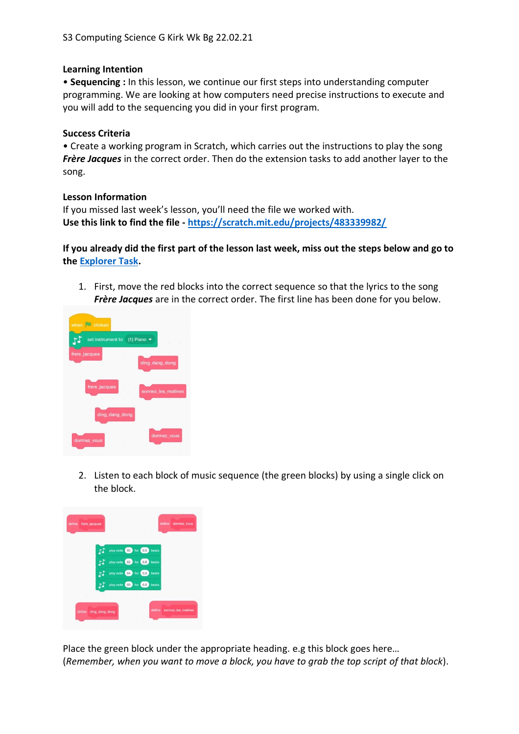## **Learning Intention**

• **Sequencing :** In this lesson, we continue our first steps into understanding computer programming. We are looking at how computers need precise instructions to execute and you will add to the sequencing you did in your first program.

## **Success Criteria**

• Create a working program in Scratch, which carries out the instructions to play the song *Frère Jacques* in the correct order. Then do the extension tasks to add another layer to the song.

## **Lesson Information**

If you missed last week's lesson, you'll need the file we worked with. **Use this link to find the file - <https://scratch.mit.edu/projects/483339982/>**

**If you already did the first part of the lesson last week, miss out the steps below and go to the [Explorer Task.](#page-1-0)**

1. First, move the red blocks into the correct sequence so that the lyrics to the song *Frère Jacques* are in the correct order. The first line has been done for you below.



2. Listen to each block of music sequence (the green blocks) by using a single click on the block.



Place the green block under the appropriate heading. e.g this block goes here… (*Remember, when you want to move a block, you have to grab the top script of that block*).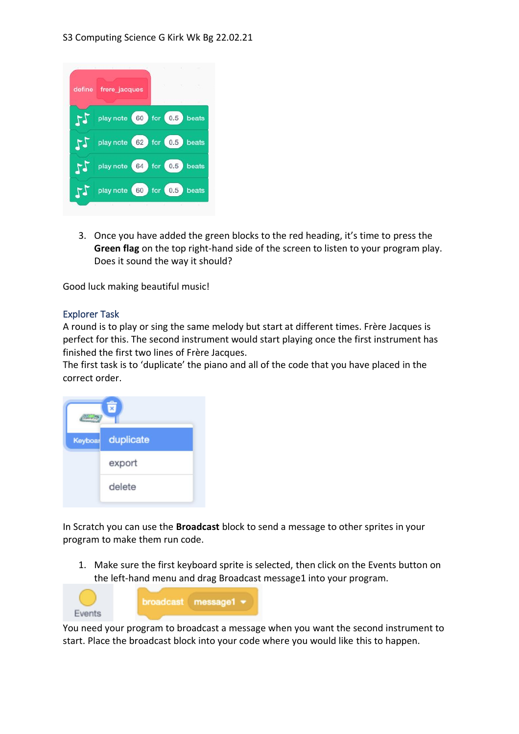

3. Once you have added the green blocks to the red heading, it's time to press the **Green flag** on the top right-hand side of the screen to listen to your program play. Does it sound the way it should?

Good luck making beautiful music!

## <span id="page-1-0"></span>Explorer Task

A round is to play or sing the same melody but start at different times. Frère Jacques is perfect for this. The second instrument would start playing once the first instrument has finished the first two lines of Frère Jacques.

The first task is to 'duplicate' the piano and all of the code that you have placed in the correct order.



In Scratch you can use the **Broadcast** block to send a message to other sprites in your program to make them run code.

1. Make sure the first keyboard sprite is selected, then click on the Events button on the left-hand menu and drag Broadcast message1 into your program.



You need your program to broadcast a message when you want the second instrument to start. Place the broadcast block into your code where you would like this to happen.